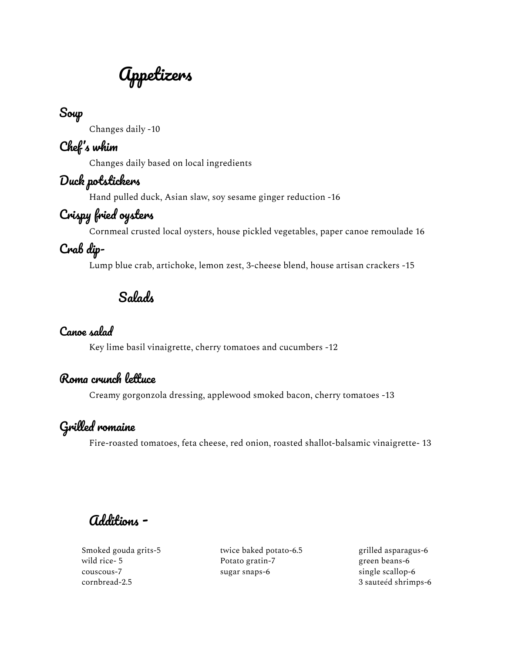Appetizers

## Soup

Changes daily -10

### Chef' s whim

Changes daily based on local ingredients

## Duck potstickers

Hand pulled duck, Asian slaw, soy sesame ginger reduction -16

# Crispy fried oysters

Cornmeal crusted local oysters, house pickled vegetables, paper canoe remoulade 16

# Crab dip-

Lump blue crab, artichoke, lemon zest, 3-cheese blend, house artisan crackers -15

Salads

#### Canoe salad

Key lime basil vinaigrette, cherry tomatoes and cucumbers -12

### Roma crunch lettuce

Creamy gorgonzola dressing, applewood smoked bacon, cherry tomatoes -13

### Grilled romaine

Fire-roasted tomatoes, feta cheese, red onion, roasted shallot-balsamic vinaigrette- 13

Additions -

Smoked gouda grits-5 wild rice- 5 couscous-7 cornbread-2.5

twice baked potato-6.5 Potato gratin-7 sugar snaps-6

grilled asparagus-6 green beans-6 single scallop-6 3 sauteéd shrimps-6